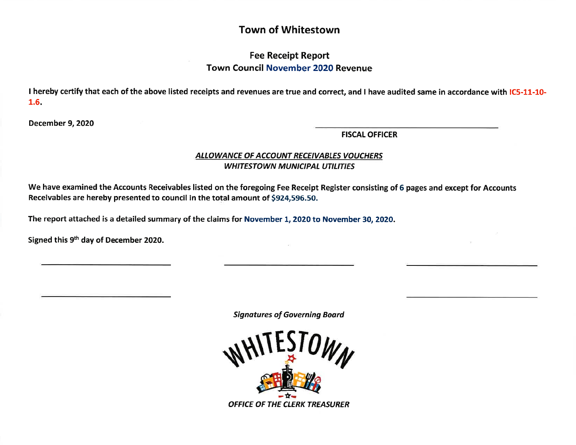# Town of Whitestown

# Fee Receipt Report Town Council November 2O2O Revenue

I hereby certify that each of the above listed receipts and revenues are true and correct, and I have audited same in accordance with IC5-11-10-1.6.

December 9,2020

FISCAL OFFICER

## ALLOWANCE OF ACCOUNT RECEIVABLES VOUCHERS WHITESTOWN MUNICIPAL UTILITIES

We have examined the Accounts Receivables listed on the foregoing Fee Receipt Register consisting of 6 pages and except for Accounts Receivables are hereby presented to council in the total amount of \$924,596.50.

The report attached is a detailed summary of the claims for November 1, 2020 to November 30, 2020.

Signed this 9<sup>th</sup> day of December 2020.

Signdtures of Governing Board

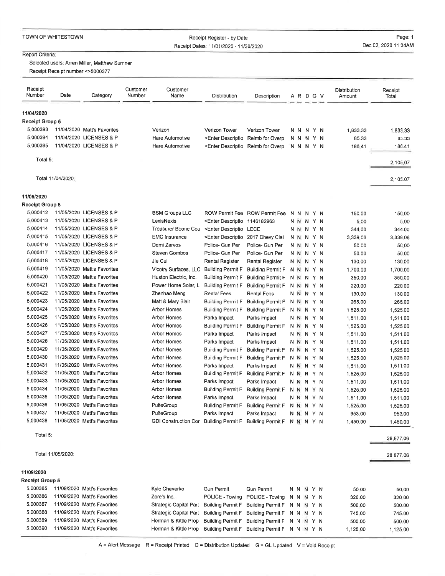| TOWN OF WHITESTOWN |
|--------------------|
|--------------------|

## Receipt Register - by DateReceipt Dates: 1110112020 - 1113012020

Page: 1Dec 02, 2020 11:34AM

### Report Criteria:

Selected users: Arren Miller, Matthew Sumner

Receipt. Receipt number <>5000377

| Receipt<br>Number      | Date              | Category                    | Customer<br>Number | Customer<br>Name            | Distribution                                                                                                                                        | Description              |    |     |    | A R D G V |    | Distribution<br>Amount | Receipt<br>Total |
|------------------------|-------------------|-----------------------------|--------------------|-----------------------------|-----------------------------------------------------------------------------------------------------------------------------------------------------|--------------------------|----|-----|----|-----------|----|------------------------|------------------|
| 11/04/2020             |                   |                             |                    |                             |                                                                                                                                                     |                          |    |     |    |           |    |                        |                  |
| Receipt Group 5        |                   |                             |                    |                             |                                                                                                                                                     |                          |    |     |    |           |    |                        |                  |
| 5.000393               |                   | 11/04/2020 Matt's Favorites |                    | Verizon                     | Verizon Tower                                                                                                                                       | Verizon Tower            |    |     |    | N N N Y N |    | 1.833.33               | 1,833,33         |
| 5.000394               |                   | 11/04/2020 LICENSES & P     |                    | <b>Hare Automotive</b>      | <enter descriptio<="" td=""><td>Reimb for Overp</td><td></td><td>N N</td><td>Ν</td><td></td><td>YN</td><td>85.33</td><td>85,33</td></enter>         | Reimb for Overp          |    | N N | Ν  |           | YN | 85.33                  | 85,33            |
| 5.000395               |                   | 11/04/2020 LICENSES & P     |                    | Hare Automotive             | <enter descriptio<="" td=""><td>Reimb for Overp</td><td>'N</td><td>N.</td><td></td><td>N Y N</td><td></td><td>186.41</td><td>186.41</td></enter>    | Reimb for Overp          | 'N | N.  |    | N Y N     |    | 186.41                 | 186.41           |
| Total 5:               |                   |                             |                    |                             |                                                                                                                                                     |                          |    |     |    |           |    |                        | 2,105.07         |
|                        | Total 11/04/2020: |                             |                    |                             |                                                                                                                                                     |                          |    |     |    |           |    |                        | 2,105.07         |
| 11/05/2020             |                   |                             |                    |                             |                                                                                                                                                     |                          |    |     |    |           |    |                        |                  |
| <b>Receipt Group 5</b> |                   |                             |                    |                             |                                                                                                                                                     |                          |    |     |    |           |    |                        |                  |
| 5.000412               |                   | 11/05/2020 LICENSES & P     |                    | <b>BSM Groups LLC</b>       | ROW Permit Fee                                                                                                                                      | <b>ROW Permit Fee</b>    | N  | N   | N  |           | YN | 150.00                 | 150.00           |
| 5.000413               |                   | 11/05/2020 LICENSES & P     |                    | LexisNexis                  | <enter descriptio<="" td=""><td>1146182963</td><td>N</td><td>N</td><td>N.</td><td></td><td>YN</td><td>5.00</td><td>5.00</td></enter>                | 1146182963               | N  | N   | N. |           | YN | 5.00                   | 5.00             |
| 5.000414               |                   | 11/05/2020 LICENSES & P     |                    | Treasurer Boone Cou         | <enter descriptio<="" td=""><td>LECE</td><td>N</td><td></td><td></td><td>N N Y N</td><td></td><td>344.00</td><td>344.00</td></enter>                | LECE                     | N  |     |    | N N Y N   |    | 344.00                 | 344.00           |
| 5.000415               |                   | 11/05/2020 LICENSES & P     |                    | <b>EMC</b> Insurance        | <enter descriptio<="" td=""><td>2017 Chevy Clai</td><td></td><td>N N</td><td></td><td>N Y N</td><td></td><td>3,339.06</td><td>3,339.06</td></enter> | 2017 Chevy Clai          |    | N N |    | N Y N     |    | 3,339.06               | 3,339.06         |
| 5.000416               |                   | 11/05/2020 LICENSES & P     |                    | Demi Zarvos                 | Police- Gun Per                                                                                                                                     | Police- Gun Per          | N  | N.  | N. |           | YN | 50.00                  | 50.00            |
| 5.000417               |                   | 11/05/2020 LICENSES & P     |                    | Steven Gombos               | Police- Gun Per                                                                                                                                     | Police- Gun Per          |    | N N |    | N Y N     |    | 50.00                  | 50.00            |
| 5.000418               |                   | 11/05/2020 LICENSES & P     |                    | Jie Cui                     | Rental Register                                                                                                                                     | <b>Rental Register</b>   |    |     |    | N N N Y N |    | 130.00                 | 130,00           |
| 5.000419               |                   | 11/05/2020 Matt's Favorites |                    | Vicotry Surfaces, LLC       | <b>Building Permit F</b>                                                                                                                            | <b>Building Permit F</b> | N  | N   | N. | YN        |    | 1,700.00               | 1,700.00         |
| 5.000420               |                   | 11/05/2020 Matt's Favorites |                    | Huston Electric, Inc.       | <b>Building Permit F</b>                                                                                                                            | <b>Building Permit F</b> |    | N N |    | N Y N     |    | 350.00                 | 350.00           |
| 5.000421               |                   | 11/05/2020 Matt's Favorites |                    | Power Home Solar, L         | <b>Building Permit F</b>                                                                                                                            | <b>Building Permit F</b> |    |     |    | N N N Y N |    | 220.00                 | 220,00           |
| 5.000422               |                   | 11/05/2020 Matt's Favorites |                    | Zhenhao Meng                | Rental Fees                                                                                                                                         | <b>Rental Fees</b>       |    |     |    | N N N Y N |    | 130.00                 | 130.00           |
| 5.000423               |                   | 11/05/2020 Matt's Favorites |                    | Matt & Mary Blair           | <b>Building Permit F</b>                                                                                                                            | <b>Building Permit F</b> | N  | N   |    | N Y N     |    | 265,00                 | 265.00           |
| 5.000424               |                   | 11/05/2020 Matt's Favorites |                    | Arbor Homes                 | <b>Building Permit F</b>                                                                                                                            | <b>Building Permit F</b> |    |     |    | NNNYN     |    | 1,525.00               | 1,525,00         |
| 5.000425               |                   | 11/05/2020 Matt's Favorites |                    | Arbor Homes                 | Parks Impact                                                                                                                                        | Parks Impact             |    |     |    | N N N Y N |    | 1,511.00               | 1,511.00         |
| 5.000426               |                   | 11/05/2020 Matt's Favorites |                    | Arbor Homes                 | <b>Building Permit F</b>                                                                                                                            | <b>Building Permit F</b> | N  | N   | N  | YN        |    | 1,525.00               | 1,525.00         |
| 5.000427               |                   | 11/05/2020 Matt's Favorites |                    | Arbor Homes                 | Parks Impact                                                                                                                                        | Parks Impact             |    | N N |    | N Y N     |    | 1,511.00               | 1,511.00         |
| 5.000428               |                   | 11/05/2020 Matt's Favorites |                    | Arbor Homes                 | Parks Impact                                                                                                                                        | Parks Impact             |    | N N |    | N Y N     |    | 1,511.00               | 1,511.00         |
| 5.000429               |                   | 11/05/2020 Matt's Favorites |                    | <b>Arbor Homes</b>          | <b>Building Permit F</b>                                                                                                                            | <b>Building Permit F</b> | N  | N   |    | N Y N     |    | 1,525.00               | 1,525.00         |
| 5.000430               |                   | 11/05/2020 Matt's Favorites |                    | Arbor Homes                 | <b>Building Permit F</b>                                                                                                                            | <b>Building Permit F</b> | N. | N   |    | N Y N     |    | 1,525.00               | 1,525.00         |
| 5.000431               |                   | 11/05/2020 Matt's Favorites |                    | Arbor Homes                 | Parks Impact                                                                                                                                        | Parks Impact             |    | N N |    | N Y N     |    | 1,511.00               | 1,511.00         |
| 5.000432               |                   | 11/05/2020 Matt's Favorites |                    | Arbor Homes                 | <b>Building Permit F</b>                                                                                                                            | <b>Building Permit F</b> | N  | N   |    | N Y N     |    | 1,525.00               | 1,525.00         |
| 5.000433               |                   | 11/05/2020 Matt's Favorites |                    | Arbor Homes                 | Parks Impact                                                                                                                                        | Parks Impact             |    | N N |    | N Y N     |    | 1,511.00               | 1,511.00         |
| 5.000434               |                   | 11/05/2020 Matt's Favorites |                    | Arbor Homes                 | <b>Building Permit F</b>                                                                                                                            | <b>Building Permit F</b> | N  | N   |    | N Y N     |    | 1,525.00               | 1,525.00         |
| 5.000435               |                   | 11/05/2020 Matt's Favorites |                    | <b>Arbor Homes</b>          | Parks Impact                                                                                                                                        | Parks Impact             | N  | N   |    | N Y N     |    | 1,511.00               | 1,511.00         |
| 5.000436               |                   | 11/05/2020 Matt's Favorites |                    | PulteGroup                  | <b>Building Permit F</b>                                                                                                                            | <b>Building Permit F</b> | N  | N   | N. | YN        |    | 1,525.00               | 1,525.00         |
| 5.000437               |                   | 11/05/2020 Matt's Favorites |                    | PulteGroup                  | Parks Impact                                                                                                                                        | Parks Impact             |    | N N |    | NYN       |    | 953.00                 | 953.00           |
| 5.000438               |                   | 11/05/2020 Matt's Favorites |                    | <b>GDI Construction Cor</b> | <b>Building Permit F</b>                                                                                                                            | <b>Building Permit F</b> |    |     |    | N N N Y N |    | 1,450.00               | 1,450,00         |

Total 5:

11109t2020

#### Tolal 1110512020:

28,877.06

28,877.06

| Receipt Group 5 |                             |                        |                                               |                                               |       |  |  |          |          |
|-----------------|-----------------------------|------------------------|-----------------------------------------------|-----------------------------------------------|-------|--|--|----------|----------|
| 5.000385        | 11/09/2020 Matt's Favorites | Kyle Cheverko          | <b>Gun Permit</b>                             | Gun Permit                                    | NNNYN |  |  | 50.00    | 50.00    |
| 5.000386        | 11/09/2020 Matt's Favorites | Zore's Inc.            |                                               | POLICE - Towing POLICE - Towing N N N Y N     |       |  |  | 320.00   | 320.00   |
| 5.000387        | 11/09/2020 Matt's Favorites | Strategic Capital Part |                                               | Building Permit F Building Permit F N N N Y N |       |  |  | 500.00   | 500.00   |
| 5.000388        | 11/09/2020 Matt's Favorites | Strategic Capital Part | Building Permit F Building Permit F N N N Y N |                                               |       |  |  | 745.00   | 745.00   |
| 5.000389        | 11/09/2020 Matt's Favorites | Herman & Kittle Prop   |                                               | Building Permit F Building Permit F N N N Y N |       |  |  | 500.00   | 500.00   |
| 5.000390        | 11/09/2020 Matt's Favorites | Herman & Kittle Prop   |                                               | Building Permit F Building Permit F N N N Y N |       |  |  | 1.125.00 | 1.125.00 |

A = Alert Message R = Receipt Printed D = Distribution Updated G = GL Updated V = Void Receipt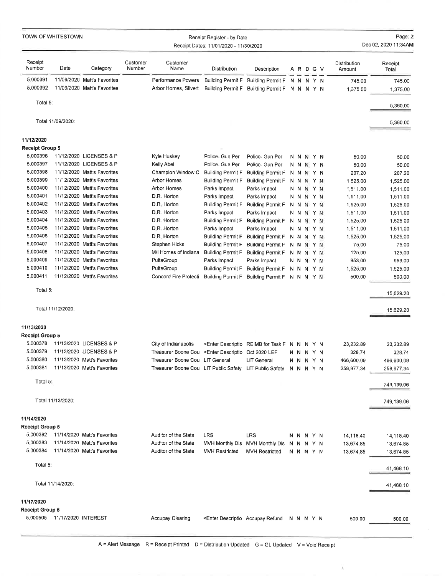|                        | TOWN OF WHITESTOWN            |                                                            |                    |                                                                                                                                                                    | Receipt Register - by Date<br>Receipt Dates: 11/01/2020 - 11/30/2020                                                                 |                                                                                                                                                 |           |                        |    |                        | Page: 2<br>Dec 02, 2020 11:34AM |
|------------------------|-------------------------------|------------------------------------------------------------|--------------------|--------------------------------------------------------------------------------------------------------------------------------------------------------------------|--------------------------------------------------------------------------------------------------------------------------------------|-------------------------------------------------------------------------------------------------------------------------------------------------|-----------|------------------------|----|------------------------|---------------------------------|
| Receipt<br>Number      | Date                          | Category                                                   | Customer<br>Number | Customer<br>Name                                                                                                                                                   | Distribution                                                                                                                         | Description                                                                                                                                     |           | A R D G V              |    | Distribution<br>Amount | Receipt<br>Total                |
| 5.000391<br>5.000392   |                               | 11/09/2020 Matt's Favorites<br>11/09/2020 Matt's Favorites |                    | Performance Powers<br>Arbor Homes, Silvert                                                                                                                         | <b>Building Permit F</b>                                                                                                             | Building Permit F N N N Y N<br>Building Permit F Building Permit F N N N Y N                                                                    |           |                        |    | 745.00<br>1,375.00     | 745.00<br>1,375.00              |
| Total 5:               |                               |                                                            |                    |                                                                                                                                                                    |                                                                                                                                      |                                                                                                                                                 |           |                        |    |                        | 5,360,00                        |
|                        | Total 11/09/2020:             |                                                            |                    |                                                                                                                                                                    |                                                                                                                                      |                                                                                                                                                 |           |                        |    |                        | 5,360.00                        |
| 11/12/2020             |                               |                                                            |                    |                                                                                                                                                                    |                                                                                                                                      |                                                                                                                                                 |           |                        |    |                        |                                 |
| <b>Receipt Group 5</b> |                               |                                                            |                    |                                                                                                                                                                    |                                                                                                                                      |                                                                                                                                                 |           |                        |    |                        |                                 |
| 5.000396               |                               | 11/12/2020 LICENSES & P                                    |                    | Kyle Huskey                                                                                                                                                        | Police- Gun Per                                                                                                                      | Police- Gun Per                                                                                                                                 |           | N N N Y N              |    | 50.00                  | 50.00                           |
| 5.000397               |                               | 11/12/2020 LICENSES & P                                    |                    | Kelly Abel                                                                                                                                                         | Police- Gun Per                                                                                                                      | Police- Gun Per                                                                                                                                 |           | N N N Y N              |    | 50.00                  | 50.00                           |
| 5.000398               |                               | 11/12/2020 Matt's Favorites                                |                    | Champion Window C                                                                                                                                                  | <b>Building Permit F</b>                                                                                                             | <b>Building Permit F</b>                                                                                                                        |           | N N N Y N              |    | 207.20                 | 207.20                          |
| 5.000399<br>5.000400   |                               | 11/12/2020 Matt's Favorites<br>11/12/2020 Matt's Favorites |                    | <b>Arbor Homes</b>                                                                                                                                                 | <b>Building Permit F</b>                                                                                                             | <b>Building Permit F</b>                                                                                                                        |           | N N N Y N              |    | 1,525.00               | 1,525.00                        |
| 5.000401               |                               | 11/12/2020 Matt's Favorites                                |                    | Arbor Homes<br>D.R. Horton                                                                                                                                         | Parks Impact                                                                                                                         | Parks Impact                                                                                                                                    |           | N N N                  | YN | 1,511.00               | 1,511.00                        |
| 5.000402               |                               | 11/12/2020 Matt's Favorites                                |                    | D.R. Horton                                                                                                                                                        | Parks Impact<br><b>Building Permit F</b>                                                                                             | Parks Impact                                                                                                                                    |           | N N N Y N<br>N N N Y N |    | 1,511.00               | 1,511.00                        |
| 5.000403               |                               | 11/12/2020 Matt's Favorites                                |                    | D.R. Horton                                                                                                                                                        | Parks Impact                                                                                                                         | <b>Building Permit F</b><br>Parks Impact                                                                                                        |           | N N N Y N              |    | 1,525.00               | 1,525.00<br>1,511.00            |
| 5.000404               |                               | 11/12/2020 Matt's Favorites                                |                    | D.R. Horton                                                                                                                                                        | <b>Building Permit F</b>                                                                                                             | <b>Building Permit F</b>                                                                                                                        |           | N N N Y N              |    | 1,511.00<br>1,525.00   | 1,525.00                        |
| 5.000405               |                               | 11/12/2020 Matt's Favorites                                |                    | D.R. Horton                                                                                                                                                        | Parks Impact                                                                                                                         | Parks Impact                                                                                                                                    |           | N N N Y N              |    | 1,511.00               | 1,511.00                        |
| 5.000406               |                               | 11/12/2020 Matt's Favorites                                |                    | D.R. Horton                                                                                                                                                        | <b>Building Permit F</b>                                                                                                             | <b>Building Permit F</b>                                                                                                                        |           | N N N Y N              |    | 1,525.00               | 1,525.00                        |
| 5.000407               |                               | 11/12/2020 Matt's Favorites                                |                    | Stephen Hicks                                                                                                                                                      | <b>Building Permit F</b>                                                                                                             | <b>Building Permit F</b>                                                                                                                        |           | N N N Y N              |    | 75.00                  | 75.00                           |
| 5.000408               |                               | 11/12/2020 Matt's Favorites                                |                    | M/I Homes of Indiana                                                                                                                                               | <b>Building Permit F</b>                                                                                                             | <b>Building Permit F</b>                                                                                                                        |           | N N N Y N              |    | 125.00                 | 125,00                          |
| 5.000409               |                               | 11/12/2020 Matt's Favorites                                |                    | PulteGroup                                                                                                                                                         | Parks Impact                                                                                                                         | Parks Impact                                                                                                                                    |           | N N N Y N              |    | 953.00                 | 953.00                          |
| 5.000410               |                               | 11/12/2020 Matt's Favorites                                |                    | PulteGroup                                                                                                                                                         | <b>Building Permit F</b>                                                                                                             | Building Permit F                                                                                                                               |           | N N N Y N              |    | 1,525.00               | 1,525.00                        |
| 5.000411               |                               | 11/12/2020 Matt's Favorites                                |                    | Concord Fire Protecti                                                                                                                                              | <b>Building Permit F</b>                                                                                                             | Building Permit F N N N Y N                                                                                                                     |           |                        |    | 500.00                 | 500,00                          |
| Total 5:               |                               |                                                            |                    |                                                                                                                                                                    |                                                                                                                                      |                                                                                                                                                 |           |                        |    |                        | 15,629.20                       |
|                        | Total 11/12/2020:             |                                                            |                    |                                                                                                                                                                    |                                                                                                                                      |                                                                                                                                                 |           |                        |    |                        | 15,629,20                       |
| 11/13/2020             |                               |                                                            |                    |                                                                                                                                                                    |                                                                                                                                      |                                                                                                                                                 |           |                        |    |                        |                                 |
| Receipt Group 5        |                               |                                                            |                    |                                                                                                                                                                    |                                                                                                                                      |                                                                                                                                                 |           |                        |    |                        |                                 |
| 5.000378               |                               | 11/13/2020 LICENSES & P                                    |                    | City of Indianapolis                                                                                                                                               |                                                                                                                                      | <enter descriptio="" f="" for="" n="" n<="" reimb="" task="" td="" y=""><td></td><td></td><td></td><td>23,232.89</td><td>23,232.89</td></enter> |           |                        |    | 23,232.89              | 23,232.89                       |
| 5.000379               |                               | 11/13/2020 LICENSES & P                                    |                    | Treasurer Boone Cou <enter 2020="" descriptio="" lef<="" oct="" td=""><td></td><td></td><td></td><td>N N N Y N</td><td></td><td>328.74</td><td>328.74</td></enter> |                                                                                                                                      |                                                                                                                                                 |           | N N N Y N              |    | 328.74                 | 328.74                          |
| 5.000380               |                               | 11/13/2020 Matt's Favorites                                |                    | Treasurer Boone Cou LIT General                                                                                                                                    |                                                                                                                                      | LIT General                                                                                                                                     |           | N N N Y N              |    | 466,600.09             | 466,600.09                      |
| 5.000381               |                               | 11/13/2020 Matt's Favorites                                |                    | Treasurer Boone Cou LIT Public Safety LIT Public Safety                                                                                                            |                                                                                                                                      |                                                                                                                                                 |           | N N N Y N              |    | 258,977.34             | 258,977.34                      |
| Total 5:               |                               |                                                            |                    |                                                                                                                                                                    |                                                                                                                                      |                                                                                                                                                 |           |                        |    |                        | 749,139.06                      |
|                        | Total 11/13/2020:             |                                                            |                    |                                                                                                                                                                    |                                                                                                                                      |                                                                                                                                                 |           |                        |    |                        | 749,139.06                      |
| 11/14/2020             |                               |                                                            |                    |                                                                                                                                                                    |                                                                                                                                      |                                                                                                                                                 |           |                        |    |                        |                                 |
| <b>Receipt Group 5</b> |                               |                                                            |                    |                                                                                                                                                                    |                                                                                                                                      |                                                                                                                                                 |           |                        |    |                        |                                 |
| 5.000382               |                               | 11/14/2020 Matt's Favorites                                |                    | Auditor of the State                                                                                                                                               | LRS                                                                                                                                  | <b>LRS</b>                                                                                                                                      |           | N N N Y N              |    | 14,118.40              | 14,118.40                       |
| 5.000383               |                               | 11/14/2020 Matt's Favorites                                |                    | Auditor of the State                                                                                                                                               |                                                                                                                                      | MVH Monthly Dis MVH Monthly Dis N N N Y N                                                                                                       |           |                        |    | 13,674.85              | 13,674.85                       |
| 5.000384               |                               | 11/14/2020 Matt's Favorites                                |                    | Auditor of the State                                                                                                                                               | <b>MVH Restricted</b>                                                                                                                | <b>MVH Restricted</b>                                                                                                                           |           | N N N Y N              |    | 13,674.85              | 13,674,85                       |
| Total 5:               |                               |                                                            |                    |                                                                                                                                                                    |                                                                                                                                      |                                                                                                                                                 |           |                        |    |                        | 41,468,10                       |
|                        | Total 11/14/2020:             |                                                            |                    |                                                                                                                                                                    |                                                                                                                                      |                                                                                                                                                 |           |                        |    |                        | 41,468,10                       |
| 11/17/2020             |                               |                                                            |                    |                                                                                                                                                                    |                                                                                                                                      |                                                                                                                                                 |           |                        |    |                        |                                 |
| Receipt Group 5        |                               |                                                            |                    |                                                                                                                                                                    |                                                                                                                                      |                                                                                                                                                 |           |                        |    |                        |                                 |
|                        | 5,000505  11/17/2020 INTEREST |                                                            |                    | <b>Accupay Clearing</b>                                                                                                                                            | <enter accupay="" descriptio="" refund<="" td=""><td></td><td>N N N Y N</td><td></td><td></td><td>500.00</td><td>500,00</td></enter> |                                                                                                                                                 | N N N Y N |                        |    | 500.00                 | 500,00                          |

¥,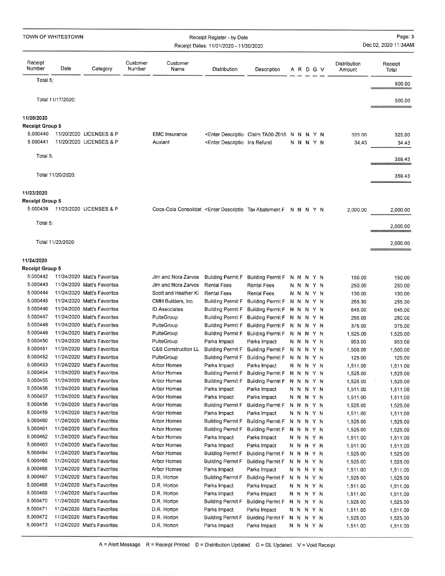| TOWN OF WHITESTOWN                   |                   |                                                            |                    |                                                                                                                                                                                  | Receipt Register - by Date<br>Receipt Dates: 11/01/2020 - 11/30/2020                                                           |                                                                                                                                    |  |                        |  |                        | Page: 3<br>Dec 02, 2020 11:34AM |
|--------------------------------------|-------------------|------------------------------------------------------------|--------------------|----------------------------------------------------------------------------------------------------------------------------------------------------------------------------------|--------------------------------------------------------------------------------------------------------------------------------|------------------------------------------------------------------------------------------------------------------------------------|--|------------------------|--|------------------------|---------------------------------|
| Receipt<br>Number                    | Date              | Category                                                   | Customer<br>Number | Customer<br>Name                                                                                                                                                                 | Distribution                                                                                                                   | Description                                                                                                                        |  | A R D G V              |  | Distribution<br>Amount | Receipt<br>Total                |
| Total 5                              |                   |                                                            |                    |                                                                                                                                                                                  |                                                                                                                                |                                                                                                                                    |  |                        |  |                        | 500.00                          |
|                                      |                   |                                                            |                    |                                                                                                                                                                                  |                                                                                                                                |                                                                                                                                    |  |                        |  |                        |                                 |
|                                      | Total 11/17/2020: |                                                            |                    |                                                                                                                                                                                  |                                                                                                                                |                                                                                                                                    |  |                        |  |                        | 500,00                          |
|                                      |                   |                                                            |                    |                                                                                                                                                                                  |                                                                                                                                |                                                                                                                                    |  |                        |  |                        |                                 |
| 11/20/2020<br><b>Receipt Group 5</b> |                   |                                                            |                    |                                                                                                                                                                                  |                                                                                                                                |                                                                                                                                    |  |                        |  |                        |                                 |
| 5,000440                             |                   | 11/20/2020 LICENSES & P                                    |                    | <b>EMC</b> Insurance                                                                                                                                                             |                                                                                                                                | <enter claim="" descriptio="" n="" n<="" ta00-z016="" td="" y=""><td></td><td></td><td></td><td>325.00</td><td>325.00</td></enter> |  |                        |  | 325.00                 | 325.00                          |
| 5,000441                             |                   | 11/20/2020 LICENSES & P                                    |                    | Auxiant                                                                                                                                                                          | <enter descriptio="" ins="" refund<="" td=""><td></td><td></td><td>N N N Y N</td><td></td><td>34.43</td><td>34.43</td></enter> |                                                                                                                                    |  | N N N Y N              |  | 34.43                  | 34.43                           |
|                                      |                   |                                                            |                    |                                                                                                                                                                                  |                                                                                                                                |                                                                                                                                    |  |                        |  |                        |                                 |
| Total 5:                             |                   |                                                            |                    |                                                                                                                                                                                  |                                                                                                                                |                                                                                                                                    |  |                        |  |                        | 359.43                          |
|                                      | Total 11/20/2020: |                                                            |                    |                                                                                                                                                                                  |                                                                                                                                |                                                                                                                                    |  |                        |  |                        |                                 |
|                                      |                   |                                                            |                    |                                                                                                                                                                                  |                                                                                                                                |                                                                                                                                    |  |                        |  |                        | 359.43                          |
| 11/23/2020                           |                   |                                                            |                    |                                                                                                                                                                                  |                                                                                                                                |                                                                                                                                    |  |                        |  |                        |                                 |
| <b>Receipt Group 5</b>               |                   |                                                            |                    |                                                                                                                                                                                  |                                                                                                                                |                                                                                                                                    |  |                        |  |                        |                                 |
| 5 000439                             |                   | 11/23/2020 LICENSES & P                                    |                    | Coca-Cola Consolidat <enter abatement="" descriptio="" f="" n="" n<="" tax="" td="" y=""><td></td><td></td><td></td><td></td><td></td><td>2,000.00</td><td>2,000.00</td></enter> |                                                                                                                                |                                                                                                                                    |  |                        |  | 2,000.00               | 2,000.00                        |
| Total 5:                             |                   |                                                            |                    |                                                                                                                                                                                  |                                                                                                                                |                                                                                                                                    |  |                        |  |                        |                                 |
|                                      |                   |                                                            |                    |                                                                                                                                                                                  |                                                                                                                                |                                                                                                                                    |  |                        |  |                        | 2,000.00                        |
|                                      | Total 11/23/2020: |                                                            |                    |                                                                                                                                                                                  |                                                                                                                                |                                                                                                                                    |  |                        |  |                        | 2,000.00                        |
|                                      |                   |                                                            |                    |                                                                                                                                                                                  |                                                                                                                                |                                                                                                                                    |  |                        |  |                        |                                 |
| 11/24/2020                           |                   |                                                            |                    |                                                                                                                                                                                  |                                                                                                                                |                                                                                                                                    |  |                        |  |                        |                                 |
| <b>Receipt Group 5</b>               |                   |                                                            |                    |                                                                                                                                                                                  |                                                                                                                                |                                                                                                                                    |  |                        |  |                        |                                 |
| 5.000442                             |                   | 11/24/2020 Matt's Favorites                                |                    | Jim and Nora Zarvos                                                                                                                                                              | <b>Building Permit F</b>                                                                                                       | Building Permit F N N N Y N                                                                                                        |  |                        |  | 150.00                 | 150.00                          |
| 5.000443                             |                   | 11/24/2020 Matt's Favorites                                |                    | Jim and Nora Zarvos                                                                                                                                                              | <b>Rental Fees</b>                                                                                                             | Rental Fees                                                                                                                        |  | N N N Y N              |  | 250.00                 | 250.00                          |
| 5.000444                             |                   | 11/24/2020 Matt's Favorites                                |                    | Scott and Heather Ki                                                                                                                                                             | <b>Rental Fees</b>                                                                                                             | Rental Fees                                                                                                                        |  | N N N Y N              |  | 130,00                 | 130.00                          |
| 5.000445                             |                   | 11/24/2020 Matt's Favorites                                |                    | CMH Builders, Inc.                                                                                                                                                               | Building Permit F                                                                                                              | Building Permit F N N N Y N                                                                                                        |  |                        |  | 255.30                 | 255.30                          |
| 5.000446<br>5.000447                 |                   | 11/24/2020 Matt's Favorites<br>11/24/2020 Matt's Favorites |                    | <b>ID Associates</b><br>PulteGroup                                                                                                                                               | <b>Building Permit F</b>                                                                                                       | Building Permit F N N N Y N                                                                                                        |  |                        |  | 645.00                 | 645.00                          |
| 5.000448                             |                   | 11/24/2020 Matt's Favorites                                |                    | PulteGroup                                                                                                                                                                       | <b>Building Permit F</b><br>Building Permit F                                                                                  | Building Permit F N N N Y N<br>Building Permit F N N N Y N                                                                         |  |                        |  | 250.00<br>375.00       | 250.00<br>375.00                |
| 5.000449                             |                   | 11/24/2020 Matt's Favorites                                |                    | PulteGroup                                                                                                                                                                       | <b>Building Permit F</b>                                                                                                       | Building Permit F N N N Y N                                                                                                        |  |                        |  | 1,525.00               | 1,525.00                        |
| 5.000450                             |                   | 11/24/2020 Matt's Favorites                                |                    | PulteGroup                                                                                                                                                                       | Parks Impact                                                                                                                   | Parks Impact                                                                                                                       |  | N N N Y N              |  | 953.00                 | 953.00                          |
| 5.000451                             |                   | 11/24/2020 Matt's Favorites                                |                    | C&B Construction LL                                                                                                                                                              | Building Permit F                                                                                                              | Building Permit F N N N Y N                                                                                                        |  |                        |  | 1,500.00               | 1,500.00                        |
| 5.000452                             |                   | 11/24/2020 Matt's Favorites                                |                    | PulteGroup                                                                                                                                                                       |                                                                                                                                | Building Permit F Building Permit F N N N Y N                                                                                      |  |                        |  | 125,00                 | 125,00                          |
| 5.000453                             |                   | 11/24/2020 Matt's Favorites                                |                    | Arbor Homes                                                                                                                                                                      | Parks Impact                                                                                                                   | Parks Impact                                                                                                                       |  | N N N Y N              |  | 1,511.00               | 1,511,00                        |
| 5.000454                             |                   | 11/24/2020 Matt's Favorites                                |                    | Arbor Homes                                                                                                                                                                      | Building Permit F                                                                                                              | Building Permit F N N N Y N                                                                                                        |  |                        |  | 1,525.00               | 1,525,00                        |
| 5.000455<br>5,000456                 |                   | 11/24/2020 Matt's Favorites                                |                    | Arbor Homes                                                                                                                                                                      | Building Permit F                                                                                                              | <b>Building Permit F</b>                                                                                                           |  | N N N Y N              |  | 1,525,00               | 1,525.00                        |
| 5.000457                             |                   | 11/24/2020 Matt's Favorites<br>11/24/2020 Matt's Favorites |                    | Arbor Homes<br>Arbor Homes                                                                                                                                                       | Parks Impact<br>Parks Impact                                                                                                   | Parks Impact<br>Parks Impact                                                                                                       |  | N N N Y N<br>N N N Y N |  | 1,511.00               | 1,511.00                        |
| 5.000458                             |                   | 11/24/2020 Matt's Favorites                                |                    | Arbor Homes                                                                                                                                                                      | Building Permit F                                                                                                              | <b>Building Permit F</b>                                                                                                           |  | N N N Y N              |  | 1,511.00<br>1,525.00   | 1,511.00<br>1,525.00            |
| 5,000459                             |                   | 11/24/2020 Matt's Favorites                                |                    | Arbor Homes                                                                                                                                                                      | Parks Impact                                                                                                                   | Parks Impact                                                                                                                       |  | N N N Y N              |  | 1,511.00               | 1,511.00                        |
| 5.000460                             |                   | 11/24/2020 Matt's Favorites                                |                    | Arbor Homes                                                                                                                                                                      | <b>Building Permit F</b>                                                                                                       | Building Permit F N N N Y N                                                                                                        |  |                        |  | 1,525.00               | 1,525.00                        |
| 5.000461                             |                   | 11/24/2020 Matt's Favorites                                |                    | Arbor Homes                                                                                                                                                                      | <b>Building Permit F</b>                                                                                                       | Building Permit F                                                                                                                  |  | N N N Y N              |  | 1,525.00               | 1,525.00                        |
| 5.000462                             |                   | 11/24/2020 Matt's Favorites                                |                    | Arbor Homes                                                                                                                                                                      | Parks Impact                                                                                                                   | Parks Impact                                                                                                                       |  | N N N Y N              |  | 1,511.00               | 1,511.00                        |
| 5.000463                             |                   | 11/24/2020 Matt's Favorites                                |                    | Arbor Homes                                                                                                                                                                      | Parks Impact                                                                                                                   | Parks Impact                                                                                                                       |  | N N N Y N              |  | 1,511.00               | 1,511.00                        |
| 5.000464                             |                   | 11/24/2020 Matt's Favorites                                |                    | Arbor Homes                                                                                                                                                                      | Building Permit F                                                                                                              | <b>Building Permit F</b>                                                                                                           |  | N N N Y N              |  | 1,525.00               | 1,525.00                        |
| 5.000465<br>5.000466                 |                   | 11/24/2020 Matt's Favorites                                |                    | Arbor Homes                                                                                                                                                                      | Building Permit F                                                                                                              | Building Permit F                                                                                                                  |  | N N N Y N              |  | 1,525.00               | 1,525.00                        |
| 5.000467                             |                   | 11/24/2020 Matt's Favorites<br>11/24/2020 Matt's Favorites |                    | Arbor Homes<br>$D+R+$ Horton                                                                                                                                                     | Parks Impact<br>Building Permit F                                                                                              | Parks Impact<br>Building Permit F                                                                                                  |  | N N N Y N<br>N N N Y N |  | 1,511.00<br>1,525,00   | 1,511.00<br>1,525.00            |
| 5,000468                             |                   | 11/24/2020 Matt's Favorites                                |                    | D.R. Horton                                                                                                                                                                      | Parks Impact                                                                                                                   | Parks Impact                                                                                                                       |  | N N N Y N              |  | 1,511.00               | 1,511.00                        |
| 5,000469                             |                   | 11/24/2020 Matt's Favorites                                |                    | D.R. Horton                                                                                                                                                                      | Parks Impact                                                                                                                   | Parks Impact                                                                                                                       |  | N N N Y N              |  | 1,511.00               | 1,511.00                        |
| 5.000470                             |                   | 11/24/2020 Matt's Favorites                                |                    | D.R. Horton                                                                                                                                                                      | Building Permit F                                                                                                              | Building Permit F                                                                                                                  |  | N N N Y N              |  | 1,525.00               | 1,525.00                        |
| 5.000471                             |                   | 11/24/2020 Matt's Favorites                                |                    | D.R. Horton                                                                                                                                                                      | Parks Impact                                                                                                                   | Parks Impact                                                                                                                       |  | N N N Y N              |  | 1,511,00               | 1,511.00                        |
| 5.000472                             |                   | 11/24/2020 Matt's Favorites                                |                    | D.R. Horton                                                                                                                                                                      | Building Permit F                                                                                                              | <b>Building Permit F</b>                                                                                                           |  | N N N Y N              |  | 1,525.00               | 1,525.00                        |
| 5.000473                             |                   | 11/24/2020 Matt's Favorites                                |                    | D.R. Horton                                                                                                                                                                      | Parks Impact                                                                                                                   | Parks Impact                                                                                                                       |  | N N N Y N              |  | 1,511.00               | 1,511.00                        |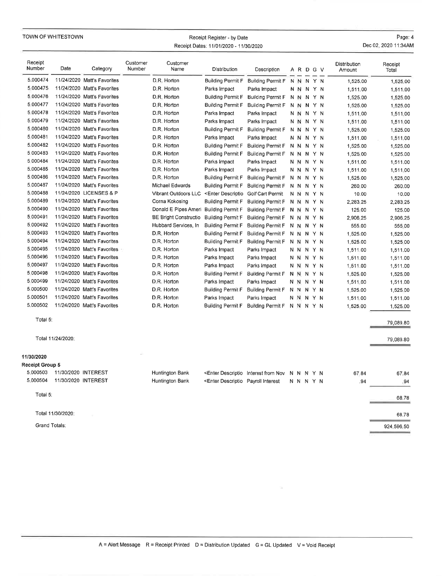|                   | TOWN OF WHITESTOWN  |                             |                    |                              | Receipt Register - by Date<br>Receipt Dates: 11/01/2020 - 11/30/2020                                                             |                                                                                                                                       |  |           |  |                        | Page: 4<br>Dec 02, 2020 11:34AM |
|-------------------|---------------------|-----------------------------|--------------------|------------------------------|----------------------------------------------------------------------------------------------------------------------------------|---------------------------------------------------------------------------------------------------------------------------------------|--|-----------|--|------------------------|---------------------------------|
| Receipt<br>Number | Date                | Category                    | Customer<br>Number | Customer<br>Name             | Distribution                                                                                                                     | Description                                                                                                                           |  | A R D G V |  | Distribution<br>Amount | Receipt<br>Total                |
| 5.000474          |                     | 11/24/2020 Matt's Favorites |                    | D.R. Horton                  | <b>Building Permit F</b>                                                                                                         | <b>Building Permit F</b>                                                                                                              |  | NNNYN     |  | 1,525.00               | 1,525,00                        |
| 5,000475          |                     | 11/24/2020 Matt's Favorites |                    | D.R. Horton                  | Parks Impact                                                                                                                     | Parks Impact                                                                                                                          |  | N N N Y N |  | 1,511.00               | 1,511.00                        |
| 5.000476          |                     | 11/24/2020 Matt's Favorites |                    | D.R. Horton                  | Building Permit F                                                                                                                | <b>Building Permit F</b>                                                                                                              |  | N N N Y N |  | 1,525.00               | 1,525.00                        |
| 5:000477          |                     | 11/24/2020 Matt's Favorites |                    | D.R. Horton                  | <b>Building Permit F</b>                                                                                                         | <b>Building Permit F</b>                                                                                                              |  | N N N Y N |  | 1,525.00               | 1,525.00                        |
| 5,000478          |                     | 11/24/2020 Matt's Favorites |                    | D.R. Horton                  | Parks Impact                                                                                                                     | Parks Impact                                                                                                                          |  | N N N Y N |  | 1,511.00               | 1,511.00                        |
| 5.000479          |                     | 11/24/2020 Matt's Favorites |                    | D.R. Horton                  | Parks Impact                                                                                                                     | Parks Impact                                                                                                                          |  | N N N Y N |  | 1,511.00               | 1,511.00                        |
| 5.000480          |                     | 11/24/2020 Matt's Favorites |                    | D.R. Horton                  | <b>Building Permit F</b>                                                                                                         | <b>Building Permit F</b>                                                                                                              |  | N N N Y N |  | 1,525.00               | 1,525.00                        |
| 5.000481          |                     | 11/24/2020 Matt's Favorites |                    | D.R. Horton                  | Parks Impact                                                                                                                     | Parks Impact                                                                                                                          |  | N N N Y N |  | 1,511.00               | 1,511.00                        |
| 5.000482          |                     | 11/24/2020 Matt's Favorites |                    | D.R. Horton                  | <b>Building Permit F</b>                                                                                                         | <b>Building Permit F</b>                                                                                                              |  | N N N Y N |  | 1,525.00               | 1,525,00                        |
| 5.000483          |                     | 11/24/2020 Matt's Favorites |                    | D.R. Horton                  | <b>Building Permit F</b>                                                                                                         | <b>Building Permit F</b>                                                                                                              |  | N N N Y N |  | 1,525,00               | 1,525.00                        |
| 5.000484          |                     | 11/24/2020 Matt's Favorites |                    | D.R. Horton                  | Parks Impact                                                                                                                     | Parks Impact                                                                                                                          |  | N N N Y N |  | 1,511,00               | 1,511.00                        |
| 5.000485          |                     | 11/24/2020 Matt's Favorites |                    | D.R. Horton                  | Parks Impact                                                                                                                     | Parks Impact                                                                                                                          |  | N N N Y N |  | 1,511.00               | 1,511,00                        |
| 5,000486          |                     | 11/24/2020 Matt's Favorites |                    | D.R. Horton                  | <b>Building Permit F</b>                                                                                                         | <b>Building Permit F</b>                                                                                                              |  | N N N Y N |  | 1,525.00               | 1,525,00                        |
| 5,000487          |                     | 11/24/2020 Matt's Favorites |                    | Michael Edwards              | <b>Building Permit F</b>                                                                                                         | <b>Building Permit F</b>                                                                                                              |  | N N N Y N |  | 260.00                 | 260.00                          |
| 5.000488          |                     | 11/24/2020 LICENSES & P     |                    | Vibrant Outdoors LLC         | <enter descriptio<="" td=""><td>Golf Cart Permit</td><td></td><td>N N N Y N</td><td></td><td>10.00</td><td>10.00</td></enter>    | Golf Cart Permit                                                                                                                      |  | N N N Y N |  | 10.00                  | 10.00                           |
| 5.000489          |                     | 11/24/2020 Matt's Favorites |                    | Corna Kokosing               | <b>Building Permit F</b>                                                                                                         | <b>Building Permit F</b>                                                                                                              |  | N N N Y N |  | 2,283.25               | 2,283.25                        |
| 5.000490          |                     | 11/24/2020 Matt's Favorites |                    | Donald E Pipes Ameri         | <b>Building Permit F</b>                                                                                                         | <b>Building Permit F</b>                                                                                                              |  | N N N Y N |  | 125,00                 | 125.00                          |
| 5.000491          |                     | 11/24/2020 Matt's Favorites |                    | <b>BE Bright Constructio</b> | <b>Building Permit F</b>                                                                                                         | <b>Building Permit F</b>                                                                                                              |  | N N N Y N |  | 2,906.25               | 2,906.25                        |
| 5.000492          |                     | 11/24/2020 Matt's Favorites |                    | Hubbard Services, In         | <b>Building Permit F</b>                                                                                                         | <b>Building Permit F</b>                                                                                                              |  | N N N Y N |  | 555.00                 | 555,00                          |
| 5.000493          |                     | 11/24/2020 Matt's Favorites |                    | D.R. Horton                  | <b>Building Permit F</b>                                                                                                         | <b>Building Permit F</b>                                                                                                              |  | N N N Y N |  | 1,525.00               | 1,525.00                        |
| 5 000494          |                     | 11/24/2020 Matt's Favorites |                    | D.R. Horton                  | Building Permit F                                                                                                                | <b>Building Permit F</b>                                                                                                              |  | N N N Y N |  | 1,525.00               | 1,525,00                        |
| 5.000495          |                     | 11/24/2020 Matt's Favorites |                    | D.R. Horton                  | Parks Impact                                                                                                                     | Parks Impact                                                                                                                          |  | NNNYN     |  | 1,511.00               | 1,511.00                        |
| 5,000496          |                     | 11/24/2020 Matt's Favorites |                    | D.R. Horton                  | Parks Impact                                                                                                                     | Parks Impact                                                                                                                          |  | N N N Y N |  | 1,511.00               | 1,511.00                        |
| 5.000497          |                     | 11/24/2020 Matt's Favorites |                    | D.R. Horton                  | Parks Impact                                                                                                                     | Parks Impact                                                                                                                          |  | N N N Y N |  | 1,511.00               | 1,511.00                        |
| 5.000498          |                     | 11/24/2020 Matt's Favorites |                    | D.R. Horton                  | Building Permit F                                                                                                                | <b>Building Permit F</b>                                                                                                              |  | N N N Y N |  | 1,525,00               | 1,525,00                        |
| 5.000499          |                     | 11/24/2020 Matt's Favorites |                    | D.R. Horton                  | Parks Impact                                                                                                                     | Parks Impact                                                                                                                          |  | N N N Y N |  | 1,511.00               | 1,511.00                        |
| 5.000500          |                     | 11/24/2020 Matt's Favorites |                    | D.R. Horton                  | <b>Building Permit F</b>                                                                                                         | <b>Building Permit F</b>                                                                                                              |  | N N N Y N |  | 1,525.00               | 1,525,00                        |
| 5.000501          |                     | 11/24/2020 Matt's Favorites |                    | D.R. Horton                  | Parks Impact                                                                                                                     | Parks Impact                                                                                                                          |  | N N N Y N |  | 1,511,00               | 1,511.00                        |
| 5.000502          |                     | 11/24/2020 Matt's Favorites |                    | D.R. Horton                  | <b>Building Permit F</b>                                                                                                         | Building Permit F                                                                                                                     |  | N N N Y N |  | 1,525.00               | 1,525,00                        |
| Total 5:          |                     |                             |                    |                              |                                                                                                                                  |                                                                                                                                       |  |           |  |                        | 79,089.80                       |
|                   | Total 11/24/2020:   |                             |                    |                              |                                                                                                                                  |                                                                                                                                       |  |           |  |                        | 79,089.80                       |
| 11/30/2020        |                     |                             |                    |                              |                                                                                                                                  |                                                                                                                                       |  |           |  |                        |                                 |
| Receipt Group 5   |                     |                             |                    |                              |                                                                                                                                  |                                                                                                                                       |  |           |  |                        |                                 |
| 5.000503          | 11/30/2020 INTEREST |                             |                    | Huntington Bank              |                                                                                                                                  | <enter descriptio="" from="" interest="" n="" n<="" nov="" td="" y=""><td></td><td></td><td></td><td>67.84</td><td>67.84</td></enter> |  |           |  | 67.84                  | 67.84                           |
| 5.000504          | 11/30/2020 INTEREST |                             |                    | Huntington Bank              | <enter descriptio="" interest<="" payroll="" td=""><td></td><td></td><td>N N N Y N</td><td></td><td>.94</td><td>.94</td></enter> |                                                                                                                                       |  | N N N Y N |  | .94                    | .94                             |
| Total 5:          |                     |                             |                    |                              |                                                                                                                                  |                                                                                                                                       |  |           |  |                        | 68.78                           |
|                   | Total 11/30/2020:   |                             |                    |                              |                                                                                                                                  |                                                                                                                                       |  |           |  |                        | 68.78                           |
| Grand Totals:     |                     |                             |                    |                              |                                                                                                                                  |                                                                                                                                       |  |           |  |                        | 924,596.50                      |

 $\mathcal{G}_\mathbf{k}$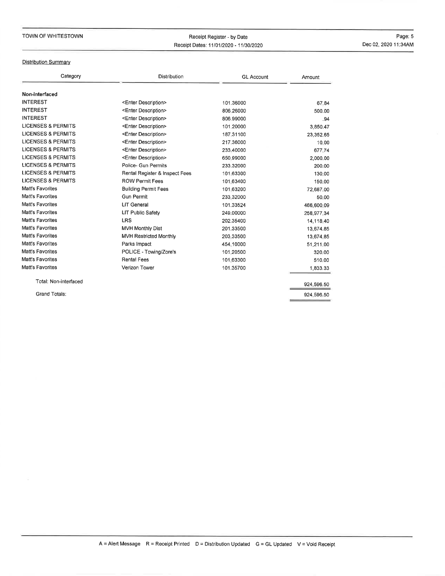## TOWN OF WHITESTOWN

## Receipt Register - by DateReceipt Dates: 1110112020 - 1113012020

Page: 5Dec 02, 2020 11:34AM

## **Distribution Summary**

| Category                      | <b>Distribution</b>            | <b>GL Account</b> | Amount     |
|-------------------------------|--------------------------------|-------------------|------------|
| Non-interfaced                |                                |                   |            |
| <b>INTEREST</b>               | <enter description=""></enter> | 101.36000         | 67.84      |
| <b>INTEREST</b>               | <enter description=""></enter> | 806,26000         | 500.00     |
| <b>INTEREST</b>               | <enter description=""></enter> | 806.99000         | .94        |
| <b>LICENSES &amp; PERMITS</b> | <enter description=""></enter> | 101.20000         | 3,850.47   |
| <b>LICENSES &amp; PERMITS</b> | <enter description=""></enter> | 187.31100         | 23,352.65  |
| <b>LICENSES &amp; PERMITS</b> | <enter description=""></enter> | 217.36000         | 10.00      |
| <b>LICENSES &amp; PERMITS</b> | <enter description=""></enter> | 233.40000         | 677.74     |
| <b>LICENSES &amp; PERMITS</b> | <enter description=""></enter> | 650.99000         | 2,000.00   |
| <b>LICENSES &amp; PERMITS</b> | Police- Gun Permits            | 233.32000         | 200.00     |
| <b>LICENSES &amp; PERMITS</b> | Rental Register & Inspect Fees | 101.63300         | 130.00     |
| <b>LICENSES &amp; PERMITS</b> | <b>ROW Permit Fees</b>         | 101,63400         | 150.00     |
| Matt's Favorites              | <b>Building Permit Fees</b>    | 101.63200         | 72,687.00  |
| Matt's Favorites              | <b>Gun Permit</b>              | 233.32000         | 50.00      |
| Matt's Favorites              | <b>LIT General</b>             | 101.33524         | 466,600.09 |
| Matt's Favorites              | <b>LIT Public Safety</b>       | 249,00000         | 258,977.34 |
| Matt's Favorites              | <b>LRS</b>                     | 202.35400         | 14,118.40  |
| Matt's Favorites              | <b>MVH Monthly Dist</b>        | 201.33500         | 13.674.85  |
| Matt's Favorites              | <b>MVH Restricted Monthly</b>  | 203.33500         | 13,674.85  |
| Matt's Favorites              | Parks Impact                   | 454.10000         | 51,211.00  |
| Matt's Favorites              | POLICE - Towing/Zore's         | 101.20500         | 320.00     |
| Matt's Favorites              | <b>Rental Fees</b>             | 101.63300         | 510.00     |
| <b>Matt's Favorites</b>       | Verizon Tower                  | 101.35700         | 1,833.33   |
| Total: Non-interfaced         |                                |                   | 924,596.50 |
| Grand Totals:                 |                                |                   | 924.596.50 |